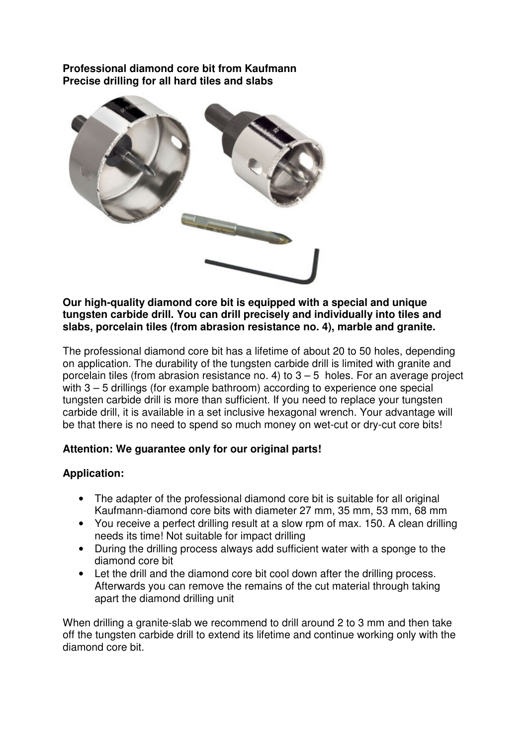**Professional diamond core bit from Kaufmann Precise drilling for all hard tiles and slabs** 



**Our high-quality diamond core bit is equipped with a special and unique tungsten carbide drill. You can drill precisely and individually into tiles and slabs, porcelain tiles (from abrasion resistance no. 4), marble and granite.** 

The professional diamond core bit has a lifetime of about 20 to 50 holes, depending on application. The durability of the tungsten carbide drill is limited with granite and porcelain tiles (from abrasion resistance no. 4) to  $3 - 5$  holes. For an average project with 3 – 5 drillings (for example bathroom) according to experience one special tungsten carbide drill is more than sufficient. If you need to replace your tungsten carbide drill, it is available in a set inclusive hexagonal wrench. Your advantage will be that there is no need to spend so much money on wet-cut or dry-cut core bits!

## **Attention: We guarantee only for our original parts!**

## **Application:**

- The adapter of the professional diamond core bit is suitable for all original Kaufmann-diamond core bits with diameter 27 mm, 35 mm, 53 mm, 68 mm
- You receive a perfect drilling result at a slow rpm of max. 150. A clean drilling needs its time! Not suitable for impact drilling
- During the drilling process always add sufficient water with a sponge to the diamond core bit
- Let the drill and the diamond core bit cool down after the drilling process. Afterwards you can remove the remains of the cut material through taking apart the diamond drilling unit

When drilling a granite-slab we recommend to drill around 2 to 3 mm and then take off the tungsten carbide drill to extend its lifetime and continue working only with the diamond core bit.